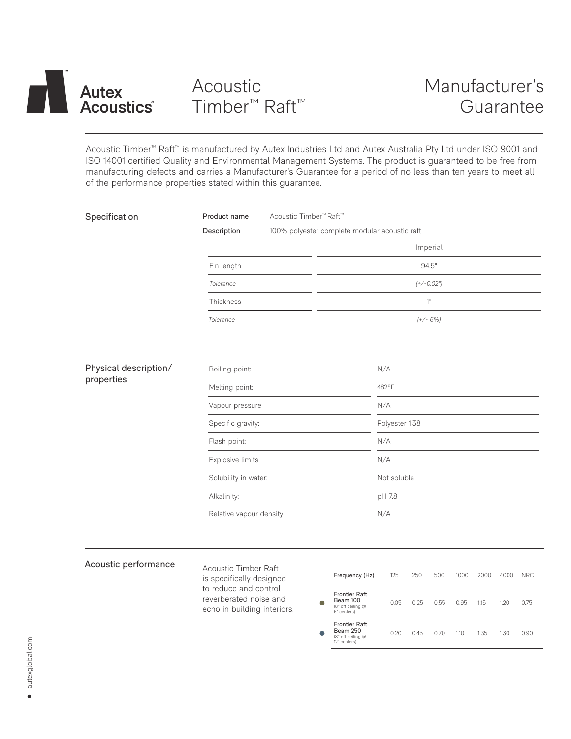

Acoustic Timber™ Raft™ is manufactured by Autex Industries Ltd and Autex Australia Pty Ltd under ISO 9001 and ISO 14001 certified Quality and Environmental Management Systems. The product is guaranteed to be free from manufacturing defects and carries a Manufacturer's Guarantee for a period of no less than ten years to meet all of the performance properties stated within this guarantee.

| Specification                       | Acoustic Timber <sup>™</sup> Raft <sup>™</sup><br>Product name |                |  |  |  |  |
|-------------------------------------|----------------------------------------------------------------|----------------|--|--|--|--|
|                                     | Description<br>100% polyester complete modular acoustic raft   |                |  |  |  |  |
|                                     |                                                                | Imperial       |  |  |  |  |
|                                     | Fin length                                                     | 94.5"          |  |  |  |  |
|                                     | Tolerance                                                      | $(+/-0.02")$   |  |  |  |  |
|                                     | Thickness                                                      | 1"             |  |  |  |  |
|                                     | Tolerance                                                      | $(+/- 6%)$     |  |  |  |  |
|                                     |                                                                |                |  |  |  |  |
| Physical description/<br>properties | Boiling point:                                                 | N/A            |  |  |  |  |
|                                     | Melting point:                                                 | 482°F          |  |  |  |  |
|                                     | Vapour pressure:                                               | N/A            |  |  |  |  |
|                                     | Specific gravity:                                              | Polyester 1.38 |  |  |  |  |
|                                     | Flash point:                                                   | N/A            |  |  |  |  |
|                                     | Explosive limits:                                              | N/A            |  |  |  |  |
|                                     | Solubility in water:                                           | Not soluble    |  |  |  |  |
|                                     | Alkalinity:                                                    | pH 7.8         |  |  |  |  |
|                                     | Relative vapour density:                                       | N/A            |  |  |  |  |
|                                     |                                                                |                |  |  |  |  |

# Acoustic performance

Acoustic Timber Raft is specifically designed to reduce and control reverberated noise and echo in building interiors.

| Frequency (Hz)                                                        | 125  | 250  | 500  | 1000 | 2000 | 4000 | NRC. |  |
|-----------------------------------------------------------------------|------|------|------|------|------|------|------|--|
| <b>Frontier Raft</b><br>Beam 100<br>(8" off ceiling @<br>6" centers)  | 0.05 | 0.25 | 0.55 | 0.95 | 115  | 120  | 0.75 |  |
| <b>Frontier Raft</b><br>Beam 250<br>(8" off ceiling @<br>12" centers) | 0.20 | 0.45 | 0.70 | 1.10 | 1.35 | 1.30 | 0.90 |  |
|                                                                       |      |      |      |      |      |      |      |  |